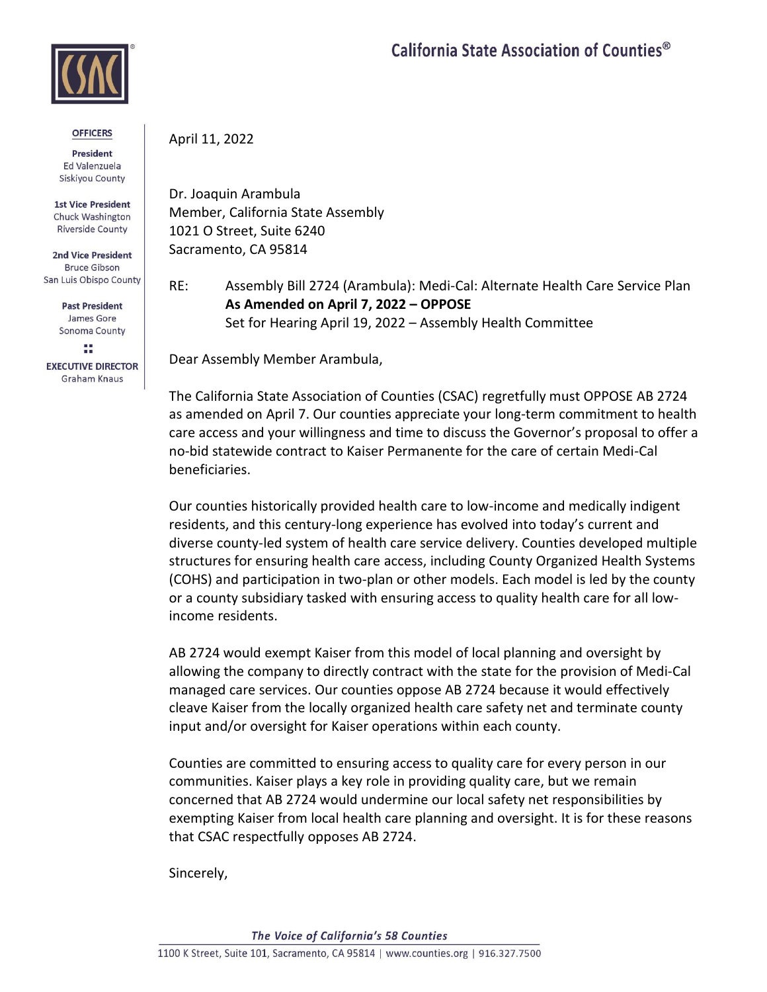

## **OFFICERS**

President Ed Valenzuela Siskiyou County

**1st Vice President** Chuck Washington **Riverside County** 

**2nd Vice President Bruce Gibson** San Luis Obispo County

> **Past President** James Gore Sonoma County

w **EXECUTIVE DIRECTOR Graham Knaus** 

April 11, 2022

Dr. Joaquin Arambula Member, California State Assembly 1021 O Street, Suite 6240 Sacramento, CA 95814

RE: Assembly Bill 2724 (Arambula): Medi-Cal: Alternate Health Care Service Plan **As Amended on April 7, 2022 – OPPOSE** Set for Hearing April 19, 2022 – Assembly Health Committee

Dear Assembly Member Arambula,

The California State Association of Counties (CSAC) regretfully must OPPOSE AB 2724 as amended on April 7. Our counties appreciate your long-term commitment to health care access and your willingness and time to discuss the Governor's proposal to offer a no-bid statewide contract to Kaiser Permanente for the care of certain Medi-Cal beneficiaries.

Our counties historically provided health care to low-income and medically indigent residents, and this century-long experience has evolved into today's current and diverse county-led system of health care service delivery. Counties developed multiple structures for ensuring health care access, including County Organized Health Systems (COHS) and participation in two-plan or other models. Each model is led by the county or a county subsidiary tasked with ensuring access to quality health care for all lowincome residents.

AB 2724 would exempt Kaiser from this model of local planning and oversight by allowing the company to directly contract with the state for the provision of Medi-Cal managed care services. Our counties oppose AB 2724 because it would effectively cleave Kaiser from the locally organized health care safety net and terminate county input and/or oversight for Kaiser operations within each county.

Counties are committed to ensuring access to quality care for every person in our communities. Kaiser plays a key role in providing quality care, but we remain concerned that AB 2724 would undermine our local safety net responsibilities by exempting Kaiser from local health care planning and oversight. It is for these reasons that CSAC respectfully opposes AB 2724.

Sincerely,